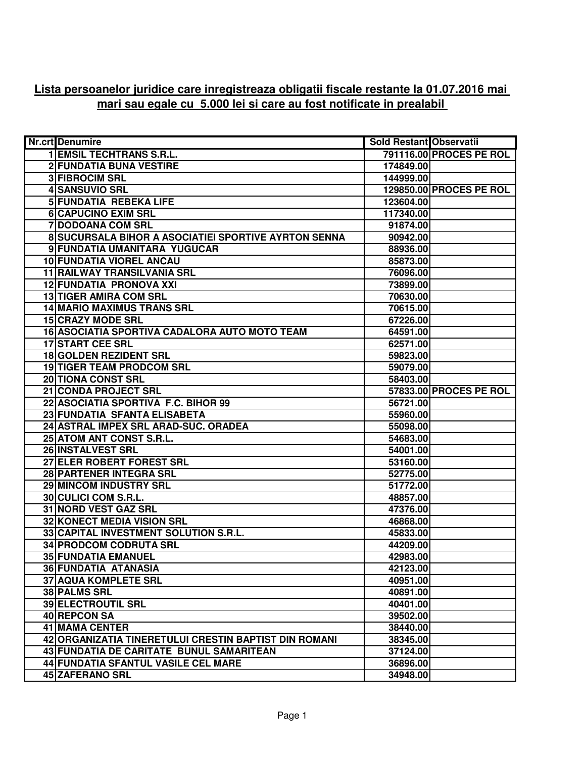## **Lista persoanelor juridice care inregistreaza obligatii fiscale restante la 01.07.2016 mai mari sau egale cu 5.000 lei si care au fost notificate in prealabil**

| <b>Nr.crt</b> Denumire                                | <b>Sold Restant Observatii</b> |                                |
|-------------------------------------------------------|--------------------------------|--------------------------------|
| <b>1 EMSIL TECHTRANS S.R.L.</b>                       |                                | <b>791116.00 PROCES PE ROL</b> |
| <b>2 FUNDATIA BUNA VESTIRE</b>                        | 174849.00                      |                                |
| <b>3 FIBROCIM SRL</b>                                 | 144999.00                      |                                |
| <b>4 SANSUVIO SRL</b>                                 |                                | 129850.00 PROCES PE ROL        |
| <b>5 FUNDATIA REBEKA LIFE</b>                         | 123604.00                      |                                |
| <b>6 CAPUCINO EXIM SRL</b>                            | 117340.00                      |                                |
| <b>7 DODOANA COM SRL</b>                              | 91874.00                       |                                |
| 8 SUCURSALA BIHOR A ASOCIATIEI SPORTIVE AYRTON SENNA  | 90942.00                       |                                |
| 9 FUNDATIA UMANITARA YUGUCAR                          | 88936.00                       |                                |
| <b>10 FUNDATIA VIOREL ANCAU</b>                       | 85873.00                       |                                |
| 11 RAILWAY TRANSILVANIA SRL                           | 76096.00                       |                                |
| 12 FUNDATIA PRONOVA XXI                               | 73899.00                       |                                |
| <b>13 TIGER AMIRA COM SRL</b>                         | 70630.00                       |                                |
| <b>14 MARIO MAXIMUS TRANS SRL</b>                     | 70615.00                       |                                |
| <b>15 CRAZY MODE SRL</b>                              | 67226.00                       |                                |
| 16 ASOCIATIA SPORTIVA CADALORA AUTO MOTO TEAM         | 64591.00                       |                                |
| <b>17 START CEE SRL</b>                               | 62571.00                       |                                |
| <b>18 GOLDEN REZIDENT SRL</b>                         | 59823.00                       |                                |
| <b>19 TIGER TEAM PRODCOM SRL</b>                      | 59079.00                       |                                |
| <b>20 TIONA CONST SRL</b>                             | 58403.00                       |                                |
| 21 CONDA PROJECT SRL                                  |                                | 57833.00 PROCES PE ROL         |
| 22 ASOCIATIA SPORTIVA F.C. BIHOR 99                   | 56721.00                       |                                |
| 23 FUNDATIA SFANTA ELISABETA                          | 55960.00                       |                                |
| 24 ASTRAL IMPEX SRL ARAD-SUC. ORADEA                  | 55098.00                       |                                |
| 25 ATOM ANT CONST S.R.L.                              | 54683.00                       |                                |
| 26 INSTALVEST SRL                                     | 54001.00                       |                                |
| 27 ELER ROBERT FOREST SRL                             | 53160.00                       |                                |
| 28 PARTENER INTEGRA SRL                               | 52775.00                       |                                |
| 29 MINCOM INDUSTRY SRL                                | 51772.00                       |                                |
| 30 CULICI COM S.R.L.                                  | 48857.00                       |                                |
| 31 NORD VEST GAZ SRL                                  | 47376.00                       |                                |
| 32 KONECT MEDIA VISION SRL                            | 46868.00                       |                                |
| 33 CAPITAL INVESTMENT SOLUTION S.R.L.                 | 45833.00                       |                                |
| <b>34 PRODCOM CODRUTA SRL</b>                         | 44209.00                       |                                |
| <b>35 FUNDATIA EMANUEL</b>                            | 42983.00                       |                                |
| <b>36 FUNDATIA ATANASIA</b>                           | 42123.00                       |                                |
| <b>37 AQUA KOMPLETE SRL</b>                           | 40951.00                       |                                |
| 38 PALMS SRL                                          | 40891.00                       |                                |
| <b>39 ELECTROUTIL SRL</b>                             | 40401.00                       |                                |
| 40 REPCON SA                                          | 39502.00                       |                                |
| <b>41 MAMA CENTER</b>                                 | 38440.00                       |                                |
| 42 ORGANIZATIA TINERETULUI CRESTIN BAPTIST DIN ROMANI | 38345.00                       |                                |
| 43 FUNDATIA DE CARITATE BUNUL SAMARITEAN              | 37124.00                       |                                |
| <b>44 FUNDATIA SFANTUL VASILE CEL MARE</b>            | 36896.00                       |                                |
| 45 ZAFERANO SRL                                       | 34948.00                       |                                |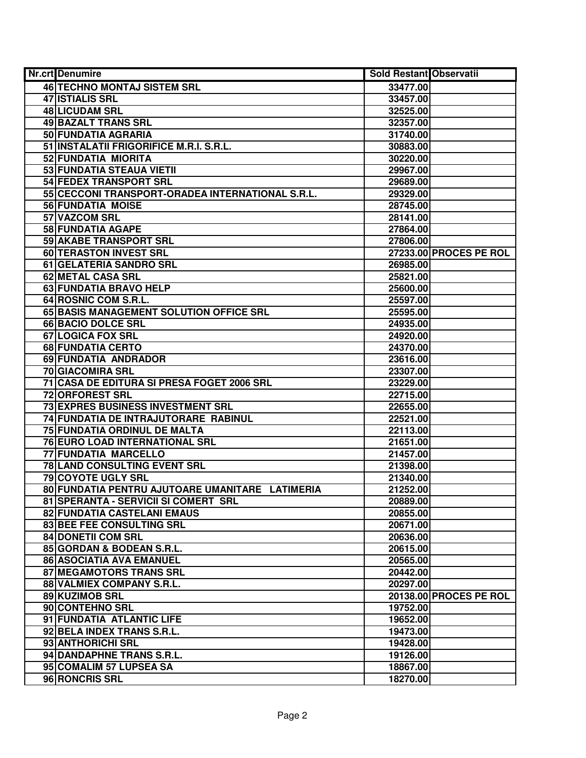| Nr.crt Denumire                                  | Sold Restant Observatii |                        |
|--------------------------------------------------|-------------------------|------------------------|
| <b>46 TECHNO MONTAJ SISTEM SRL</b>               | 33477.00                |                        |
| <b>47 ISTIALIS SRL</b>                           | 33457.00                |                        |
| 48 LICUDAM SRL                                   | 32525.00                |                        |
| <b>49 BAZALT TRANS SRL</b>                       | 32357.00                |                        |
| 50 FUNDATIA AGRARIA                              | 31740.00                |                        |
| 51 INSTALATII FRIGORIFICE M.R.I. S.R.L.          | 30883.00                |                        |
| 52 FUNDATIA MIORITA                              | 30220.00                |                        |
| 53 FUNDATIA STEAUA VIETII                        | 29967.00                |                        |
| <b>54 FEDEX TRANSPORT SRL</b>                    | 29689.00                |                        |
| 55 CECCONI TRANSPORT-ORADEA INTERNATIONAL S.R.L. | 29329.00                |                        |
| <b>56 FUNDATIA MOISE</b>                         | 28745.00                |                        |
| 57 VAZCOM SRL                                    | 28141.00                |                        |
| 58 FUNDATIA AGAPE                                | 27864.00                |                        |
| 59 AKABE TRANSPORT SRL                           | 27806.00                |                        |
| 60 TERASTON INVEST SRL                           |                         | 27233.00 PROCES PE ROL |
| 61 GELATERIA SANDRO SRL                          | 26985.00                |                        |
| 62 METAL CASA SRL                                | 25821.00                |                        |
| 63 FUNDATIA BRAVO HELP                           | 25600.00                |                        |
| 64 ROSNIC COM S.R.L.                             | 25597.00                |                        |
| 65 BASIS MANAGEMENT SOLUTION OFFICE SRL          | 25595.00                |                        |
| 66 BACIO DOLCE SRL                               | 24935.00                |                        |
| 67 LOGICA FOX SRL                                | 24920.00                |                        |
| 68 FUNDATIA CERTO                                | 24370.00                |                        |
| 69 FUNDATIA ANDRADOR                             | 23616.00                |                        |
| 70 GIACOMIRA SRL                                 | 23307.00                |                        |
| 71 CASA DE EDITURA SI PRESA FOGET 2006 SRL       | 23229.00                |                        |
| 72 ORFOREST SRL                                  | 22715.00                |                        |
| 73 EXPRES BUSINESS INVESTMENT SRL                | 22655.00                |                        |
| 74 FUNDATIA DE INTRAJUTORARE RABINUL             | 22521.00                |                        |
| 75 FUNDATIA ORDINUL DE MALTA                     | 22113.00                |                        |
| <b>76 EURO LOAD INTERNATIONAL SRL</b>            | 21651.00                |                        |
| 77 FUNDATIA MARCELLO                             | 21457.00                |                        |
| 78 LAND CONSULTING EVENT SRL                     | 21398.00                |                        |
| <b>79 COYOTE UGLY SRL</b>                        | 21340.00                |                        |
| 80 FUNDATIA PENTRU AJUTOARE UMANITARE LATIMERIA  | 21252.00                |                        |
| 81 SPERANTA - SERVICII SI COMERT SRL             | 20889.00                |                        |
| 82 FUNDATIA CASTELANI EMAUS                      | 20855.00                |                        |
| 83 BEE FEE CONSULTING SRL                        | 20671.00                |                        |
| <b>84 DONETII COM SRL</b>                        | 20636.00                |                        |
| 85 GORDAN & BODEAN S.R.L.                        | 20615.00                |                        |
| 86 ASOCIATIA AVA EMANUEL                         | 20565.00                |                        |
| 87 MEGAMOTORS TRANS SRL                          | 20442.00                |                        |
| 88 VALMIEX COMPANY S.R.L.                        | 20297.00                |                        |
| 89 KUZIMOB SRL                                   |                         | 20138.00 PROCES PE ROL |
| 90 CONTEHNO SRL                                  | 19752.00                |                        |
| 91 FUNDATIA ATLANTIC LIFE                        | 19652.00                |                        |
| 92 BELA INDEX TRANS S.R.L.                       | 19473.00                |                        |
| 93 ANTHORICHI SRL                                | 19428.00                |                        |
| 94 DANDAPHNE TRANS S.R.L.                        | 19126.00                |                        |
| 95 COMALIM 57 LUPSEA SA                          | 18867.00                |                        |
| 96 RONCRIS SRL                                   | 18270.00                |                        |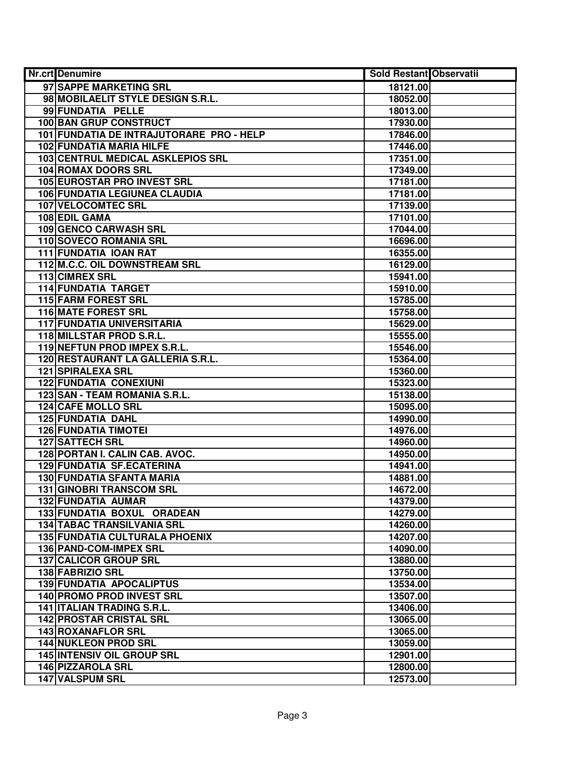| Nr.crt Denumire                          | <b>Sold Restant Observatii</b> |  |
|------------------------------------------|--------------------------------|--|
| 97 SAPPE MARKETING SRL                   | 18121.00                       |  |
| 98 MOBILAELIT STYLE DESIGN S.R.L.        | 18052.00                       |  |
| 99 FUNDATIA PELLE                        | 18013.00                       |  |
| <b>100 BAN GRUP CONSTRUCT</b>            | 17930.00                       |  |
| 101 FUNDATIA DE INTRAJUTORARE PRO - HELP | 17846.00                       |  |
| 102 FUNDATIA MARIA HILFE                 | 17446.00                       |  |
| 103 CENTRUL MEDICAL ASKLEPIOS SRL        | 17351.00                       |  |
| 104 ROMAX DOORS SRL                      | 17349.00                       |  |
| <b>105 EUROSTAR PRO INVEST SRL</b>       | 17181.00                       |  |
| <b>106 FUNDATIA LEGIUNEA CLAUDIA</b>     | 17181.00                       |  |
| <b>107 VELOCOMTEC SRL</b>                | 17139.00                       |  |
| 108 EDIL GAMA                            | 17101.00                       |  |
| 109 GENCO CARWASH SRL                    | 17044.00                       |  |
| 110 SOVECO ROMANIA SRL                   | 16696.00                       |  |
| 111 FUNDATIA IOAN RAT                    | 16355.00                       |  |
| 112 M.C.C. OIL DOWNSTREAM SRL            | 16129.00                       |  |
| 113 CIMREX SRL                           | 15941.00                       |  |
| <b>114 FUNDATIA TARGET</b>               | 15910.00                       |  |
| 115 FARM FOREST SRL                      | 15785.00                       |  |
| <b>116 MATE FOREST SRL</b>               | 15758.00                       |  |
| <b>117 FUNDATIA UNIVERSITARIA</b>        | 15629.00                       |  |
| 118 MILLSTAR PROD S.R.L.                 | 15555.00                       |  |
| 119 NEFTUN PROD IMPEX S.R.L.             | 15546.00                       |  |
| 120 RESTAURANT LA GALLERIA S.R.L.        | 15364.00                       |  |
| 121 SPIRALEXA SRL                        | 15360.00                       |  |
| <b>122 FUNDATIA CONEXIUNI</b>            | 15323.00                       |  |
| 123 SAN - TEAM ROMANIA S.R.L.            | 15138.00                       |  |
| <b>124 CAFE MOLLO SRL</b>                | 15095.00                       |  |
| <b>125 FUNDATIA DAHL</b>                 | 14990.00                       |  |
| <b>126 FUNDATIA TIMOTEI</b>              | 14976.00                       |  |
| <b>127 SATTECH SRL</b>                   | 14960.00                       |  |
| 128 PORTAN I. CALIN CAB. AVOC.           | 14950.00                       |  |
| 129 FUNDATIA SF.ECATERINA                | 14941.00                       |  |
| <b>130 FUNDATIA SFANTA MARIA</b>         | 14881.00                       |  |
| <b>131 GINOBRI TRANSCOM SRL</b>          | 14672.00                       |  |
| 132 FUNDATIA AUMAR                       | 14379.00                       |  |
| 133 FUNDATIA BOXUL ORADEAN               | 14279.00                       |  |
| <b>134 TABAC TRANSILVANIA SRL</b>        | 14260.00                       |  |
| <b>135 FUNDATIA CULTURALA PHOENIX</b>    | 14207.00                       |  |
| 136 PAND-COM-IMPEX SRL                   | 14090.00                       |  |
| 137 CALICOR GROUP SRL                    | 13880.00                       |  |
| 138 FABRIZIO SRL                         | 13750.00                       |  |
| <b>139 FUNDATIA APOCALIPTUS</b>          | 13534.00                       |  |
| 140 PROMO PROD INVEST SRL                | 13507.00                       |  |
| 141   ITALIAN TRADING S.R.L.             | 13406.00                       |  |
| <b>142 PROSTAR CRISTAL SRL</b>           | 13065.00                       |  |
| 143 ROXANAFLOR SRL                       | 13065.00                       |  |
| <b>144 NUKLEON PROD SRL</b>              | 13059.00                       |  |
| <b>145 INTENSIV OIL GROUP SRL</b>        | 12901.00                       |  |
| 146 PIZZAROLA SRL                        | 12800.00                       |  |
| 147 VALSPUM SRL                          | 12573.00                       |  |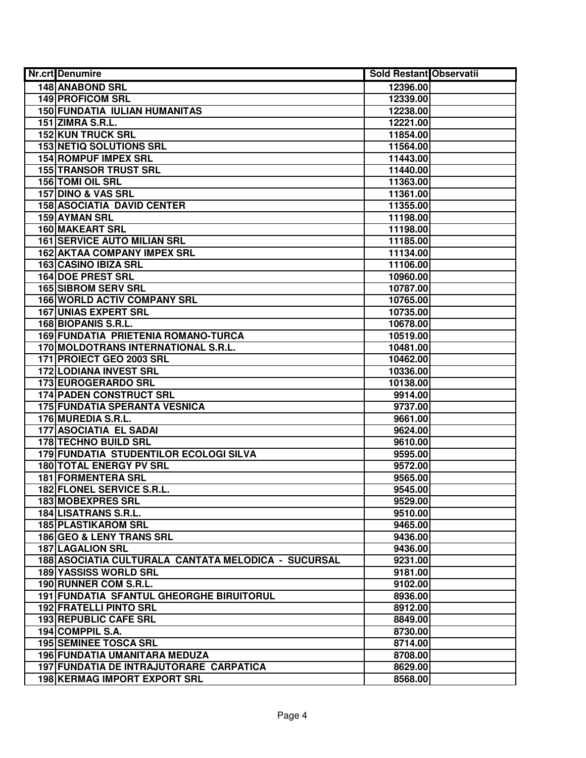| Nr.crt Denumire                                     | <b>Sold Restant Observatii</b> |  |
|-----------------------------------------------------|--------------------------------|--|
| <b>148 ANABOND SRL</b>                              | 12396.00                       |  |
| <b>149 PROFICOM SRL</b>                             | 12339.00                       |  |
| 150 FUNDATIA IULIAN HUMANITAS                       | 12238.00                       |  |
| <b>151 ZIMRA S.R.L.</b>                             | 12221.00                       |  |
| <b>152 KUN TRUCK SRL</b>                            | 11854.00                       |  |
| <b>153 NETIQ SOLUTIONS SRL</b>                      | 11564.00                       |  |
| 154 ROMPUF IMPEX SRL                                | 11443.00                       |  |
| <b>155 TRANSOR TRUST SRL</b>                        | 11440.00                       |  |
| <b>156 TOMI OIL SRL</b>                             | 11363.00                       |  |
| <b>157 DINO &amp; VAS SRL</b>                       | 11361.00                       |  |
| <b>158 ASOCIATIA DAVID CENTER</b>                   | 11355.00                       |  |
| 159 AYMAN SRL                                       | 11198.00                       |  |
| 160 MAKEART SRL                                     | 11198.00                       |  |
| <b>161 SERVICE AUTO MILIAN SRL</b>                  | 11185.00                       |  |
| <b>162 AKTAA COMPANY IMPEX SRL</b>                  | 11134.00                       |  |
| 163 CASINO IBIZA SRL                                | 11106.00                       |  |
| <b>164 DOE PREST SRL</b>                            | 10960.00                       |  |
| <b>165 SIBROM SERV SRL</b>                          | 10787.00                       |  |
| <b>166 WORLD ACTIV COMPANY SRL</b>                  | 10765.00                       |  |
| <b>167 UNIAS EXPERT SRL</b>                         | 10735.00                       |  |
| 168 BIOPANIS S.R.L.                                 | 10678.00                       |  |
| 169 FUNDATIA PRIETENIA ROMANO-TURCA                 | 10519.00                       |  |
| 170 MOLDOTRANS INTERNATIONAL S.R.L.                 | 10481.00                       |  |
| 171 PROIECT GEO 2003 SRL                            | 10462.00                       |  |
| <b>172 LODIANA INVEST SRL</b>                       | 10336.00                       |  |
| 173 EUROGERARDO SRL                                 | 10138.00                       |  |
| <b>174 PADEN CONSTRUCT SRL</b>                      | 9914.00                        |  |
| <b>175 FUNDATIA SPERANTA VESNICA</b>                | 9737.00                        |  |
| 176 MUREDIA S.R.L.                                  | 9661.00                        |  |
| <b>177 ASOCIATIA EL SADAI</b>                       | 9624.00                        |  |
| 178 TECHNO BUILD SRL                                | 9610.00                        |  |
| 179 FUNDATIA STUDENTILOR ECOLOGI SILVA              | 9595.00                        |  |
| <b>180 TOTAL ENERGY PV SRL</b>                      | 9572.00                        |  |
| <b>181 FORMENTERA SRL</b>                           | 9565.00                        |  |
| 182 FLONEL SERVICE S.R.L.                           | 9545.00                        |  |
| <b>183 MOBEXPRES SRL</b>                            | 9529.00                        |  |
| 184 LISATRANS S.R.L.                                | 9510.00                        |  |
| <b>185 PLASTIKAROM SRL</b>                          | 9465.00                        |  |
| <b>186 GEO &amp; LENY TRANS SRL</b>                 | 9436.00                        |  |
| <b>187 LAGALION SRL</b>                             | 9436.00                        |  |
| 188 ASOCIATIA CULTURALA CANTATA MELODICA - SUCURSAL | 9231.00                        |  |
| <b>189 YASSISS WORLD SRL</b>                        | 9181.00                        |  |
| 190 RUNNER COM S.R.L.                               | 9102.00                        |  |
| 191 FUNDATIA SFANTUL GHEORGHE BIRUITORUL            | 8936.00                        |  |
| <b>192 FRATELLI PINTO SRL</b>                       | 8912.00                        |  |
| 193 REPUBLIC CAFE SRL                               | 8849.00                        |  |
| 194 COMPPIL S.A.                                    | 8730.00                        |  |
| <b>195 SEMINEE TOSCA SRL</b>                        | 8714.00                        |  |
| 196 FUNDATIA UMANITARA MEDUZA                       | 8708.00                        |  |
| 197 FUNDATIA DE INTRAJUTORARE CARPATICA             | 8629.00                        |  |
| 198 KERMAG IMPORT EXPORT SRL                        | 8568.00                        |  |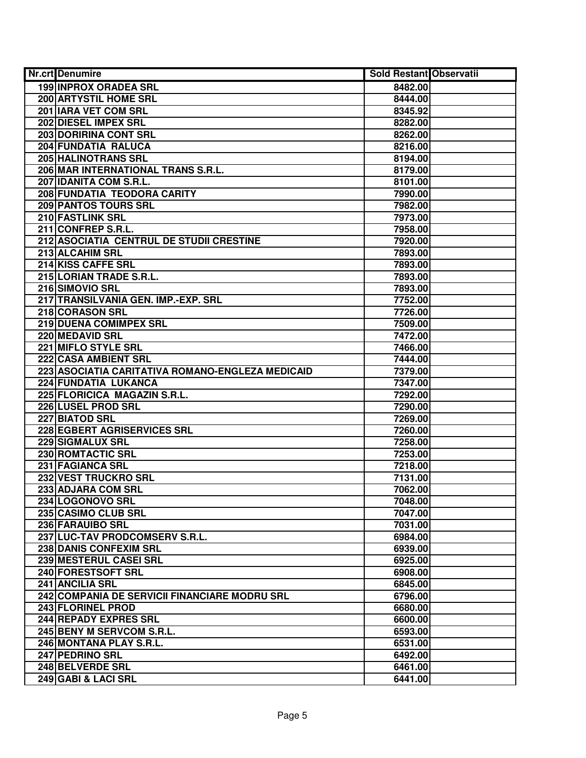| <b>Nr.crt</b> Denumire                           | <b>Sold Restant Observatii</b> |  |
|--------------------------------------------------|--------------------------------|--|
| <b>199 INPROX ORADEA SRL</b>                     | 8482.00                        |  |
| 200 ARTYSTIL HOME SRL                            | 8444.00                        |  |
| 201 IARA VET COM SRL                             | 8345.92                        |  |
| 202 DIESEL IMPEX SRL                             | 8282.00                        |  |
| <b>203 DORIRINA CONT SRL</b>                     | 8262.00                        |  |
| 204 FUNDATIA RALUCA                              | 8216.00                        |  |
| 205 HALINOTRANS SRL                              | 8194.00                        |  |
| 206 MAR INTERNATIONAL TRANS S.R.L.               | 8179.00                        |  |
| 207 IDANITA COM S.R.L.                           | 8101.00                        |  |
| 208 FUNDATIA TEODORA CARITY                      | 7990.00                        |  |
| <b>209 PANTOS TOURS SRL</b>                      | 7982.00                        |  |
| 210 FASTLINK SRL                                 | 7973.00                        |  |
| 211 CONFREP S.R.L.                               | 7958.00                        |  |
| 212 ASOCIATIA CENTRUL DE STUDII CRESTINE         | 7920.00                        |  |
| 213 ALCAHIM SRL                                  | 7893.00                        |  |
| 214 KISS CAFFE SRL                               | 7893.00                        |  |
| 215 LORIAN TRADE S.R.L.                          | 7893.00                        |  |
| 216 SIMOVIO SRL                                  | 7893.00                        |  |
| 217 TRANSILVANIA GEN. IMP.-EXP. SRL              | 7752.00                        |  |
| 218 CORASON SRL                                  | 7726.00                        |  |
| 219 DUENA COMIMPEX SRL                           | 7509.00                        |  |
| 220 MEDAVID SRL                                  | 7472.00                        |  |
| 221 MIFLO STYLE SRL                              | 7466.00                        |  |
| 222 CASA AMBIENT SRL                             | 7444.00                        |  |
| 223 ASOCIATIA CARITATIVA ROMANO-ENGLEZA MEDICAID | 7379.00                        |  |
| 224 FUNDATIA LUKANCA                             | 7347.00                        |  |
| 225 FLORICICA MAGAZIN S.R.L.                     | 7292.00                        |  |
| 226 LUSEL PROD SRL                               | 7290.00                        |  |
| 227 BIATOD SRL                                   | 7269.00                        |  |
| 228 EGBERT AGRISERVICES SRL                      | 7260.00                        |  |
| 229 SIGMALUX SRL                                 | 7258.00                        |  |
| 230 ROMTACTIC SRL                                | 7253.00                        |  |
| 231 FAGIANCA SRL                                 | 7218.00                        |  |
| 232 VEST TRUCKRO SRL                             | 7131.00                        |  |
| 233 ADJARA COM SRL                               | 7062.00                        |  |
| 234 LOGONOVO SRL                                 | 7048.00                        |  |
| 235 CASIMO CLUB SRL                              | 7047.00                        |  |
| 236 FARAUIBO SRL                                 | 7031.00                        |  |
| 237 LUC-TAV PRODCOMSERV S.R.L.                   | 6984.00                        |  |
| 238 DANIS CONFEXIM SRL                           | 6939.00                        |  |
| 239 MESTERUL CASEI SRL                           | 6925.00                        |  |
| 240 FORESTSOFT SRL                               | 6908.00                        |  |
| 241 ANCILIA SRL                                  | 6845.00                        |  |
| 242 COMPANIA DE SERVICII FINANCIARE MODRU SRL    | 6796.00                        |  |
| 243 FLORINEL PROD                                | 6680.00                        |  |
| 244 REPADY EXPRES SRL                            | 6600.00                        |  |
| 245 BENY M SERVCOM S.R.L.                        | 6593.00                        |  |
| 246 MONTANA PLAY S.R.L.                          | 6531.00                        |  |
| 247 PEDRINO SRL                                  | 6492.00                        |  |
| 248 BELVERDE SRL                                 | 6461.00                        |  |
| 249 GABI & LACI SRL                              | 6441.00                        |  |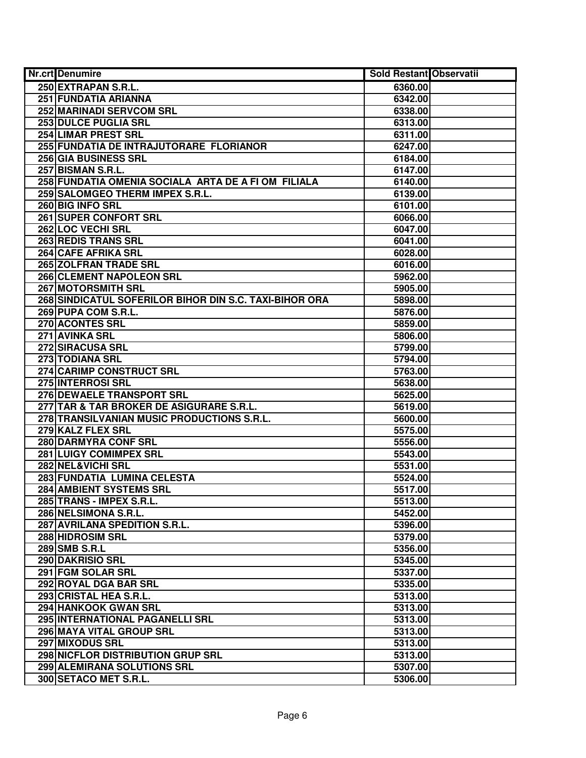| Nr.crt Denumire                                        | Sold Restant Observatii |  |
|--------------------------------------------------------|-------------------------|--|
| 250 EXTRAPAN S.R.L.                                    | 6360.00                 |  |
| 251 FUNDATIA ARIANNA                                   | 6342.00                 |  |
| 252 MARINADI SERVCOM SRL                               | 6338.00                 |  |
| 253 DULCE PUGLIA SRL                                   | 6313.00                 |  |
| <b>254 LIMAR PREST SRL</b>                             | 6311.00                 |  |
| 255 FUNDATIA DE INTRAJUTORARE FLORIANOR                | 6247.00                 |  |
| 256 GIA BUSINESS SRL                                   | 6184.00                 |  |
| 257 BISMAN S.R.L.                                      | 6147.00                 |  |
| 258 FUNDATIA OMENIA SOCIALA ARTA DE A FI OM FILIALA    | 6140.00                 |  |
| 259 SALOMGEO THERM IMPEX S.R.L.                        | 6139.00                 |  |
| 260 BIG INFO SRL                                       | 6101.00                 |  |
| <b>261 SUPER CONFORT SRL</b>                           | 6066.00                 |  |
| 262 LOC VECHI SRL                                      | 6047.00                 |  |
| <b>263 REDIS TRANS SRL</b>                             | 6041.00                 |  |
| 264 CAFE AFRIKA SRL                                    | 6028.00                 |  |
| 265 ZOLFRAN TRADE SRL                                  | 6016.00                 |  |
| 266 CLEMENT NAPOLEON SRL                               | 5962.00                 |  |
| <b>267 MOTORSMITH SRL</b>                              | 5905.00                 |  |
| 268 SINDICATUL SOFERILOR BIHOR DIN S.C. TAXI-BIHOR ORA | 5898.00                 |  |
| 269 PUPA COM S.R.L.                                    | 5876.00                 |  |
| 270 ACONTES SRL                                        | 5859.00                 |  |
| 271 AVINKA SRL                                         | 5806.00                 |  |
| 272 SIRACUSA SRL                                       | 5799.00                 |  |
| 273 TODIANA SRL                                        | 5794.00                 |  |
| 274 CARIMP CONSTRUCT SRL                               | 5763.00                 |  |
| 275 INTERROSI SRL                                      | 5638.00                 |  |
| 276 DEWAELE TRANSPORT SRL                              | 5625.00                 |  |
| 277 TAR & TAR BROKER DE ASIGURARE S.R.L.               | 5619.00                 |  |
| 278 TRANSILVANIAN MUSIC PRODUCTIONS S.R.L.             | 5600.00                 |  |
| 279 KALZ FLEX SRL                                      | 5575.00                 |  |
| 280 DARMYRA CONF SRL                                   | 5556.00                 |  |
| 281 LUIGY COMIMPEX SRL                                 | 5543.00                 |  |
| 282 NEL&VICHI SRL                                      | 5531.00                 |  |
| 283 FUNDATIA LUMINA CELESTA                            | 5524.00                 |  |
| 284 AMBIENT SYSTEMS SRL                                | 5517.00                 |  |
| 285 TRANS - IMPEX S.R.L.                               | 5513.00                 |  |
| 286 NELSIMONA S.R.L.                                   | 5452.00                 |  |
| 287 AVRILANA SPEDITION S.R.L.                          | 5396.00                 |  |
| 288 HIDROSIM SRL                                       | 5379.00                 |  |
| 289 SMB S.R.L                                          | 5356.00                 |  |
| 290 DAKRISIO SRL                                       | 5345.00                 |  |
| 291 FGM SOLAR SRL                                      | 5337.00                 |  |
| 292 ROYAL DGA BAR SRL                                  | 5335.00                 |  |
| 293 CRISTAL HEA S.R.L.                                 | 5313.00                 |  |
| 294 HANKOOK GWAN SRL                                   | 5313.00                 |  |
| 295 INTERNATIONAL PAGANELLI SRL                        | 5313.00                 |  |
| 296 MAYA VITAL GROUP SRL                               | 5313.00                 |  |
| 297 MIXODUS SRL                                        | 5313.00                 |  |
| 298 NICFLOR DISTRIBUTION GRUP SRL                      | 5313.00                 |  |
| 299 ALEMIRANA SOLUTIONS SRL                            | 5307.00                 |  |
| 300 SETACO MET S.R.L.                                  | 5306.00                 |  |